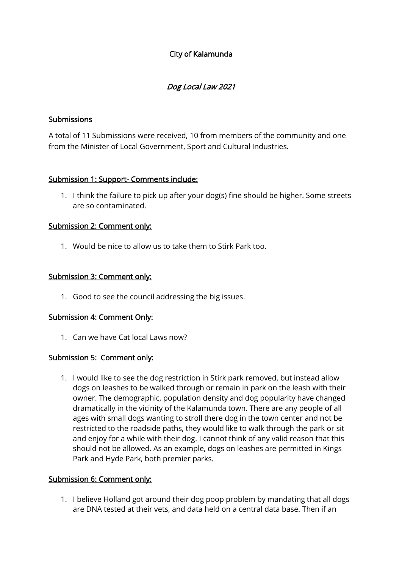# City of Kalamunda

## Dog Local Law 2021

#### Submissions

A total of 11 Submissions were received, 10 from members of the community and one from the Minister of Local Government, Sport and Cultural Industries.

## Submission 1: Support- Comments include:

1. I think the failure to pick up after your dog(s) fine should be higher. Some streets are so contaminated.

#### Submission 2: Comment only:

1. Would be nice to allow us to take them to Stirk Park too.

#### Submission 3: Comment only:

1. Good to see the council addressing the big issues.

#### Submission 4: Comment Only:

1. Can we have Cat local Laws now?

#### Submission 5: Comment only:

1. I would like to see the dog restriction in Stirk park removed, but instead allow dogs on leashes to be walked through or remain in park on the leash with their owner. The demographic, population density and dog popularity have changed dramatically in the vicinity of the Kalamunda town. There are any people of all ages with small dogs wanting to stroll there dog in the town center and not be restricted to the roadside paths, they would like to walk through the park or sit and enjoy for a while with their dog. I cannot think of any valid reason that this should not be allowed. As an example, dogs on leashes are permitted in Kings Park and Hyde Park, both premier parks.

#### Submission 6: Comment only:

1. I believe Holland got around their dog poop problem by mandating that all dogs are DNA tested at their vets, and data held on a central data base. Then if an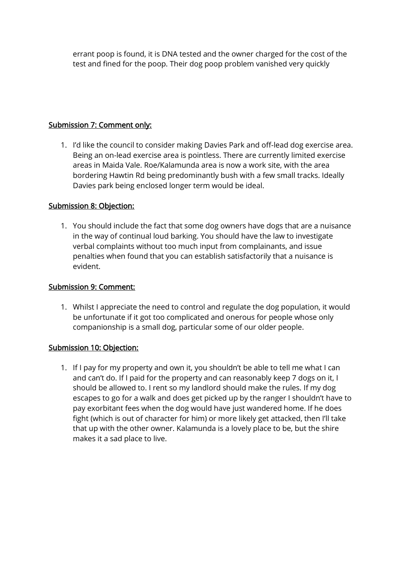errant poop is found, it is DNA tested and the owner charged for the cost of the test and fined for the poop. Their dog poop problem vanished very quickly

## Submission 7: Comment only:

1. I'd like the council to consider making Davies Park and off-lead dog exercise area. Being an on-lead exercise area is pointless. There are currently limited exercise areas in Maida Vale. Roe/Kalamunda area is now a work site, with the area bordering Hawtin Rd being predominantly bush with a few small tracks. Ideally Davies park being enclosed longer term would be ideal.

## Submission 8: Objection:

1. You should include the fact that some dog owners have dogs that are a nuisance in the way of continual loud barking. You should have the law to investigate verbal complaints without too much input from complainants, and issue penalties when found that you can establish satisfactorily that a nuisance is evident.

#### Submission 9: Comment:

1. Whilst I appreciate the need to control and regulate the dog population, it would be unfortunate if it got too complicated and onerous for people whose only companionship is a small dog, particular some of our older people.

#### Submission 10: Objection:

1. If I pay for my property and own it, you shouldn't be able to tell me what I can and can't do. If I paid for the property and can reasonably keep 7 dogs on it, I should be allowed to. I rent so my landlord should make the rules. If my dog escapes to go for a walk and does get picked up by the ranger I shouldn't have to pay exorbitant fees when the dog would have just wandered home. If he does fight (which is out of character for him) or more likely get attacked, then I'll take that up with the other owner. Kalamunda is a lovely place to be, but the shire makes it a sad place to live.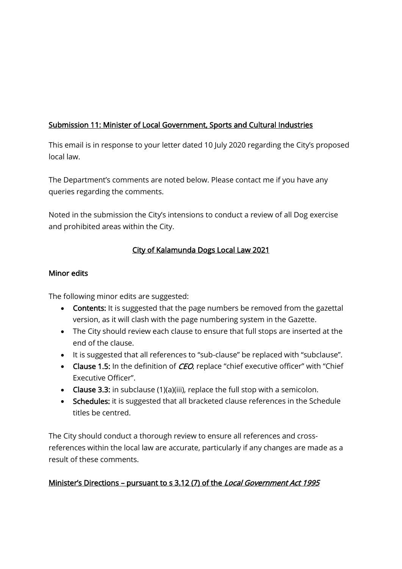# Submission 11: Minister of Local Government, Sports and Cultural Industries

This email is in response to your letter dated 10 July 2020 regarding the City's proposed local law.

The Department's comments are noted below. Please contact me if you have any queries regarding the comments.

Noted in the submission the City's intensions to conduct a review of all Dog exercise and prohibited areas within the City.

## City of Kalamunda Dogs Local Law 2021

## Minor edits

The following minor edits are suggested:

- Contents: It is suggested that the page numbers be removed from the gazettal version, as it will clash with the page numbering system in the Gazette.
- The City should review each clause to ensure that full stops are inserted at the end of the clause.
- It is suggested that all references to "sub-clause" be replaced with "subclause".
- Clause 1.5: In the definition of *CEO*, replace "chief executive officer" with "Chief Executive Officer".
- Clause 3.3: in subclause (1)(a)(iii), replace the full stop with a semicolon.
- Schedules: it is suggested that all bracketed clause references in the Schedule titles be centred.

The City should conduct a thorough review to ensure all references and crossreferences within the local law are accurate, particularly if any changes are made as a result of these comments.

# Minister's Directions – pursuant to s 3.12 (7) of the Local Government Act 1995